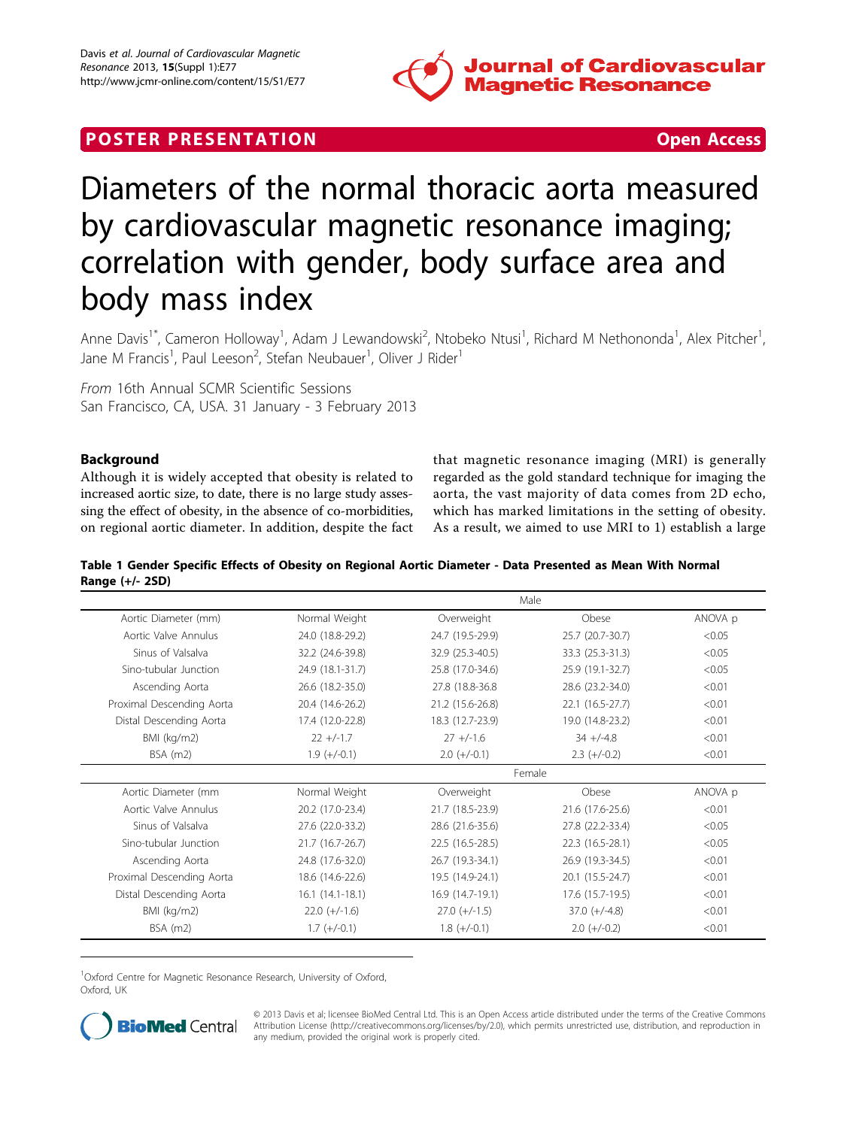

# <span id="page-0-0"></span>**POSTER PRESENTATION CONSUMING THE SECOND CONSUMING THE SECOND CONSUMING THE SECOND CONSUMING THE SECOND CONSUMING THE SECOND CONSUMING THE SECOND CONSUMING THE SECOND CONSUMING THE SECOND CONSUMING THE SECOND CONSUMING**



# Diameters of the normal thoracic aorta measured by cardiovascular magnetic resonance imaging; correlation with gender, body surface area and body mass index

Anne Davis<sup>1\*</sup>, Cameron Holloway<sup>1</sup>, Adam J Lewandowski<sup>2</sup>, Ntobeko Ntusi<sup>1</sup>, Richard M Nethononda<sup>1</sup>, Alex Pitcher<sup>1</sup> , Jane M Francis<sup>1</sup>, Paul Leeson<sup>2</sup>, Stefan Neubauer<sup>1</sup>, Oliver J Rider<sup>1</sup>

From 16th Annual SCMR Scientific Sessions San Francisco, CA, USA. 31 January - 3 February 2013

# Background

Although it is widely accepted that obesity is related to increased aortic size, to date, there is no large study assessing the effect of obesity, in the absence of co-morbidities, on regional aortic diameter. In addition, despite the fact that magnetic resonance imaging (MRI) is generally regarded as the gold standard technique for imaging the aorta, the vast majority of data comes from 2D echo, which has marked limitations in the setting of obesity. As a result, we aimed to use MRI to 1) establish a large

Table 1 Gender Specific Effects of Obesity on Regional Aortic Diameter - Data Presented as Mean With Normal Range (+/- 2SD)

|                           | Male              |                  |                  |         |
|---------------------------|-------------------|------------------|------------------|---------|
| Aortic Diameter (mm)      | Normal Weight     | Overweight       | Obese            | ANOVA p |
| Aortic Valve Annulus      | 24.0 (18.8-29.2)  | 24.7 (19.5-29.9) | 25.7 (20.7-30.7) | < 0.05  |
| Sinus of Valsalva         | 32.2 (24.6-39.8)  | 32.9 (25.3-40.5) | 33.3 (25.3-31.3) | < 0.05  |
| Sino-tubular Junction     | 24.9 (18.1-31.7)  | 25.8 (17.0-34.6) | 25.9 (19.1-32.7) | < 0.05  |
| Ascending Aorta           | 26.6 (18.2-35.0)  | 27.8 (18.8-36.8) | 28.6 (23.2-34.0) | < 0.01  |
| Proximal Descending Aorta | 20.4 (14.6-26.2)  | 21.2 (15.6-26.8) | 22.1 (16.5-27.7) | < 0.01  |
| Distal Descending Aorta   | 17.4 (12.0-22.8)  | 18.3 (12.7-23.9) | 19.0 (14.8-23.2) | < 0.01  |
| BMI (kg/m2)               | $22 + (-1.7)$     | $27 + (-1.6)$    | $34 + (-4.8)$    | < 0.01  |
| $BSA$ (m2)                | $1.9 (+/-0.1)$    | $2.0 (+/-0.1)$   | $2.3 (+/-0.2)$   | < 0.01  |
|                           | Female            |                  |                  |         |
| Aortic Diameter (mm       | Normal Weight     | Overweight       | Obese            | ANOVA p |
| Aortic Valve Annulus      | 20.2 (17.0-23.4)  | 21.7 (18.5-23.9) | 21.6 (17.6-25.6) | < 0.01  |
| Sinus of Valsalva         | 27.6 (22.0-33.2)  | 28.6 (21.6-35.6) | 27.8 (22.2-33.4) | < 0.05  |
| Sino-tubular Junction     | 21.7 (16.7-26.7)  | 22.5 (16.5-28.5) | 22.3 (16.5-28.1) | < 0.05  |
| Ascending Aorta           | 24.8 (17.6-32.0)  | 26.7 (19.3-34.1) | 26.9 (19.3-34.5) | < 0.01  |
| Proximal Descending Aorta | 18.6 (14.6-22.6)  | 19.5 (14.9-24.1) | 20.1 (15.5-24.7) | < 0.01  |
| Distal Descending Aorta   | $16.1(14.1-18.1)$ | 16.9 (14.7-19.1) | 17.6 (15.7-19.5) | < 0.01  |
| BMI (kg/m2)               | $22.0 (+/-1.6)$   | $27.0 (+/-1.5)$  | $37.0 (+/-4.8)$  | < 0.01  |
| $BSA$ (m2)                | $1.7 (+/-0.1)$    | $1.8 (+/-0.1)$   | $2.0 (+/-0.2)$   | < 0.01  |

<sup>1</sup>Oxford Centre for Magnetic Resonance Research, University of Oxford, Oxford, UK



© 2013 Davis et al; licensee BioMed Central Ltd. This is an Open Access article distributed under the terms of the Creative Commons Attribution License [\(http://creativecommons.org/licenses/by/2.0](http://creativecommons.org/licenses/by/2.0)), which permits unrestricted use, distribution, and reproduction in any medium, provided the original work is properly cited.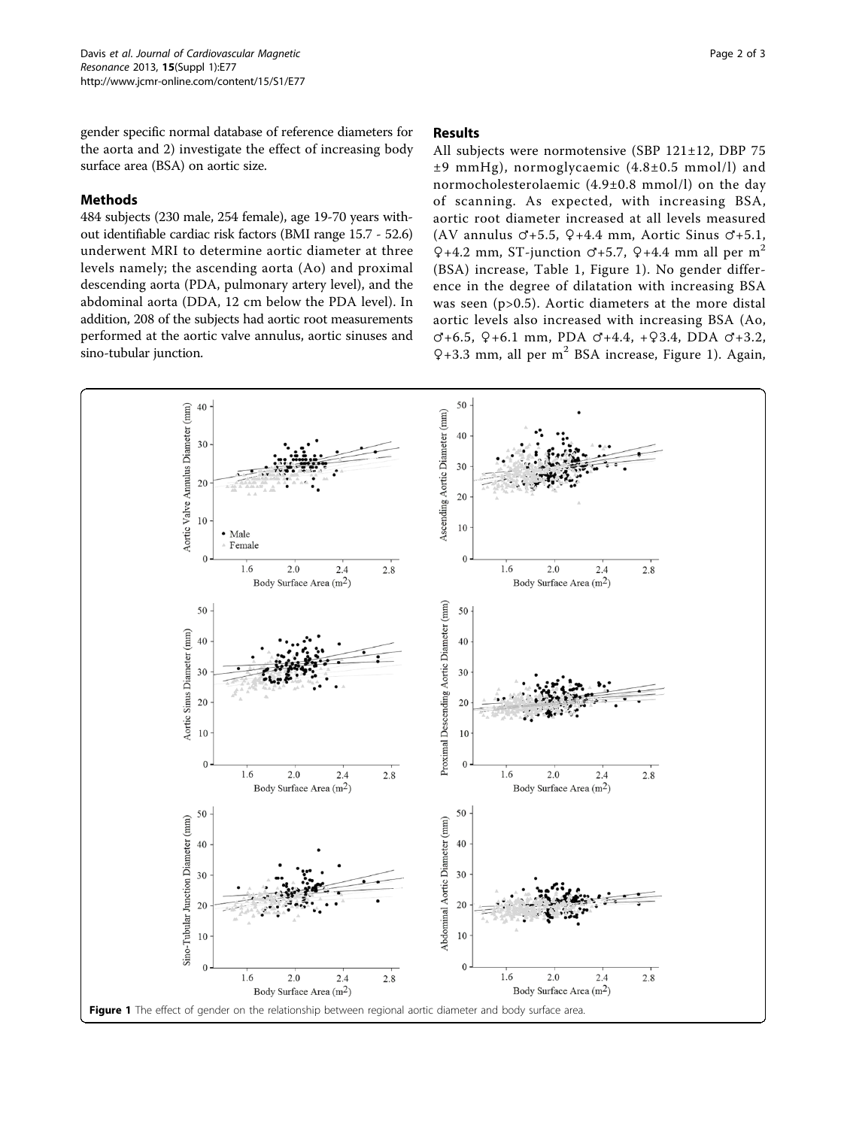Page 2 of 3

gender specific normal database of reference diameters for the aorta and 2) investigate the effect of increasing body surface area (BSA) on aortic size.

## Methods

484 subjects (230 male, 254 female), age 19-70 years without identifiable cardiac risk factors (BMI range 15.7 - 52.6) underwent MRI to determine aortic diameter at three levels namely; the ascending aorta (Ao) and proximal descending aorta (PDA, pulmonary artery level), and the abdominal aorta (DDA, 12 cm below the PDA level). In addition, 208 of the subjects had aortic root measurements performed at the aortic valve annulus, aortic sinuses and sino-tubular junction.

#### Results

All subjects were normotensive (SBP 121±12, DBP 75 ±9 mmHg), normoglycaemic (4.8±0.5 mmol/l) and normocholesterolaemic (4.9±0.8 mmol/l) on the day of scanning. As expected, with increasing BSA, aortic root diameter increased at all levels measured (AV annulus  $\sigma$ +5.5,  $Q$ +4.4 mm, Aortic Sinus  $\sigma$ +5.1,  $Q+4.2$  mm, ST-junction  $C+5.7$ ,  $Q+4.4$  mm all per m<sup>2</sup> (BSA) increase, Table [1](#page-0-0), Figure 1). No gender difference in the degree of dilatation with increasing BSA was seen (p>0.5). Aortic diameters at the more distal aortic levels also increased with increasing BSA (Ao, ♂+6.5, ♀+6.1 mm, PDA ♂+4.4, +♀3.4, DDA ♂+3.2,  $Q+3.3$  mm, all per m<sup>2</sup> BSA increase, Figure 1). Again,